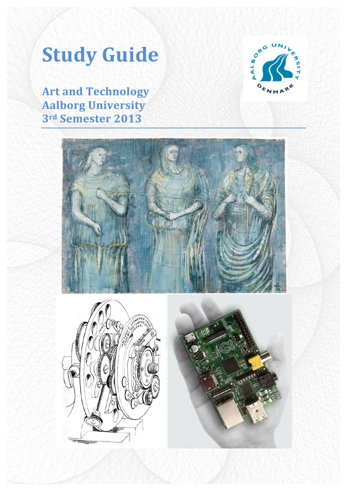# **Study Guide**

**Art and Technology Aalborg University** 3rd Semester 2013



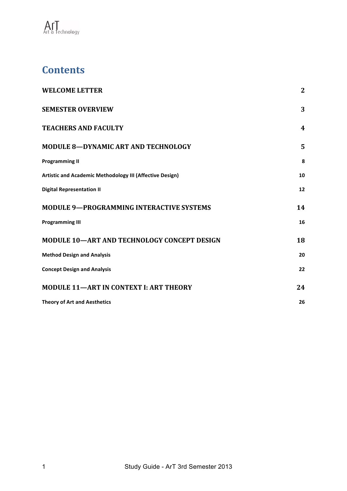

# **Contents**

| <b>WELCOME LETTER</b>                                           | $\mathbf{2}$     |
|-----------------------------------------------------------------|------------------|
| <b>SEMESTER OVERVIEW</b>                                        | 3                |
| <b>TEACHERS AND FACULTY</b>                                     | $\boldsymbol{4}$ |
| <b>MODULE 8-DYNAMIC ART AND TECHNOLOGY</b>                      | 5                |
| <b>Programming II</b>                                           | 8                |
| <b>Artistic and Academic Methodology III (Affective Design)</b> | 10               |
| <b>Digital Representation II</b>                                | 12               |
| <b>MODULE 9-PROGRAMMING INTERACTIVE SYSTEMS</b>                 | 14               |
| <b>Programming III</b>                                          | 16               |
| <b>MODULE 10-ART AND TECHNOLOGY CONCEPT DESIGN</b>              | 18               |
| <b>Method Design and Analysis</b>                               | 20               |
| <b>Concept Design and Analysis</b>                              | 22               |
| <b>MODULE 11-ART IN CONTEXT I: ART THEORY</b>                   | 24               |
| <b>Theory of Art and Aesthetics</b>                             | 26               |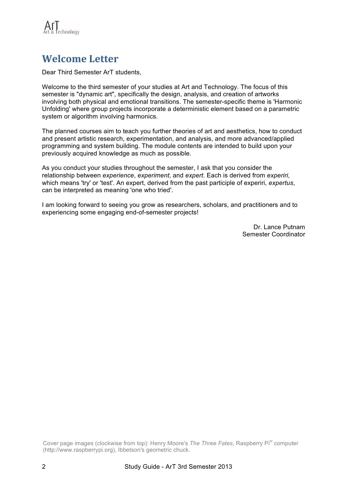

# $Welcome Letter$

Dear Third Semester ArT students,

Welcome to the third semester of your studies at Art and Technology. The focus of this semester is "dynamic art", specifically the design, analysis, and creation of artworks involving both physical and emotional transitions. The semester-specific theme is 'Harmonic Unfolding' where group projects incorporate a deterministic element based on a parametric system or algorithm involving harmonics.

The planned courses aim to teach you further theories of art and aesthetics, how to conduct and present artistic research, experimentation, and analysis, and more advanced/applied programming and system building. The module contents are intended to build upon your previously acquired knowledge as much as possible.

As you conduct your studies throughout the semester, I ask that you consider the relationship between *experience*, *experiment*, and *expert*. Each is derived from *experiri*, which means 'try' or 'test'. An expert, derived from the past participle of experiri, *expertus*, can be interpreted as meaning 'one who tried'.

I am looking forward to seeing you grow as researchers, scholars, and practitioners and to experiencing some engaging end-of-semester projects!

> Dr. Lance Putnam Semester Coordinator

Cover page images (clockwise from top): Henry Moore's *The Three Fates*, Raspberry Pi® computer (http://www.raspberrypi.org), Ibbetson's geometric chuck.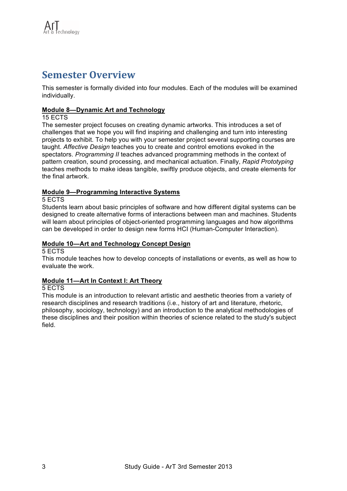## **Semester Overview**

This semester is formally divided into four modules. Each of the modules will be examined individually.

#### **Module 8—Dynamic Art and Technology**

15 ECTS

The semester project focuses on creating dynamic artworks. This introduces a set of challenges that we hope you will find inspiring and challenging and turn into interesting projects to exhibit. To help you with your semester project several supporting courses are taught. *Affective Design* teaches you to create and control emotions evoked in the spectators. *Programming II* teaches advanced programming methods in the context of pattern creation, sound processing, and mechanical actuation. Finally, *Rapid Prototyping* teaches methods to make ideas tangible, swiftly produce objects, and create elements for the final artwork.

#### **Module 9—Programming Interactive Systems**

5 ECTS

Students learn about basic principles of software and how different digital systems can be designed to create alternative forms of interactions between man and machines. Students will learn about principles of object-oriented programming languages and how algorithms can be developed in order to design new forms HCI (Human-Computer Interaction).

#### **Module 10—Art and Technology Concept Design**

5 ECTS

This module teaches how to develop concepts of installations or events, as well as how to evaluate the work.

#### **Module 11—Art In Context I: Art Theory**

#### 5 ECTS

This module is an introduction to relevant artistic and aesthetic theories from a variety of research disciplines and research traditions (i.e., history of art and literature, rhetoric, philosophy, sociology, technology) and an introduction to the analytical methodologies of these disciplines and their position within theories of science related to the study's subject field.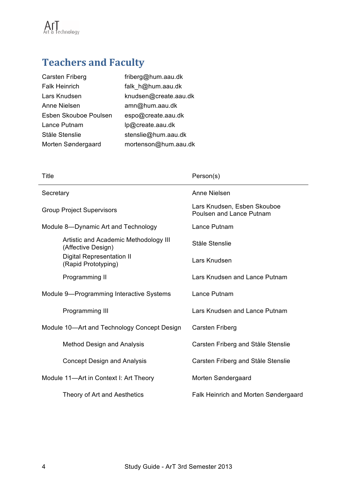

# **Teachers and Faculty**

| Carsten Friberg       | friberg@hum.aau.dk    |
|-----------------------|-----------------------|
| <b>Falk Heinrich</b>  | falk_h@hum.aau.dk     |
| Lars Knudsen          | knudsen@create.aau.dk |
| Anne Nielsen          | amn@hum.aau.dk        |
| Esben Skouboe Poulsen | espo@create.aau.dk    |
| Lance Putnam          | lp@create.aau.dk      |
| Ståle Stenslie        | stenslie@hum.aau.dk   |
| Morten Søndergaard    | mortenson@hum.aau.dk  |
|                       |                       |

| <b>Title</b>                                                | Person(s)                                               |
|-------------------------------------------------------------|---------------------------------------------------------|
| Secretary                                                   | Anne Nielsen                                            |
| <b>Group Project Supervisors</b>                            | Lars Knudsen, Esben Skouboe<br>Poulsen and Lance Putnam |
| Module 8-Dynamic Art and Technology                         | Lance Putnam                                            |
| Artistic and Academic Methodology III<br>(Affective Design) | Ståle Stenslie                                          |
| <b>Digital Representation II</b><br>(Rapid Prototyping)     | Lars Knudsen                                            |
| Programming II                                              | Lars Knudsen and Lance Putnam                           |
| Module 9-Programming Interactive Systems                    | Lance Putnam                                            |
| Programming III                                             | Lars Knudsen and Lance Putnam                           |
| Module 10—Art and Technology Concept Design                 | Carsten Friberg                                         |
| <b>Method Design and Analysis</b>                           | Carsten Friberg and Ståle Stenslie                      |
| <b>Concept Design and Analysis</b>                          | Carsten Friberg and Ståle Stenslie                      |
| Module 11-Art in Context I: Art Theory                      | Morten Søndergaard                                      |
| Theory of Art and Aesthetics                                | Falk Heinrich and Morten Søndergaard                    |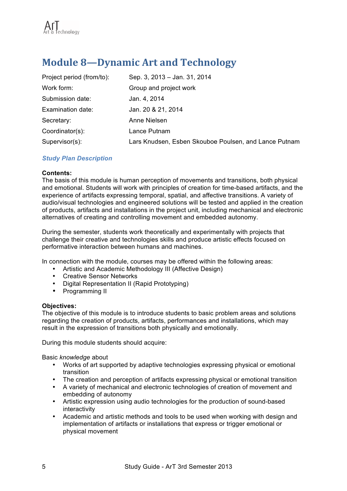# **Module 8-Dynamic Art and Technology**

| Project period (from/to): | Sep. 3, 2013 - Jan. 31, 2014                          |
|---------------------------|-------------------------------------------------------|
| Work form:                | Group and project work                                |
| Submission date:          | Jan. 4, 2014                                          |
| Examination date:         | Jan. 20 & 21, 2014                                    |
| Secretary:                | Anne Nielsen                                          |
| Coordinator(s):           | Lance Putnam                                          |
| Supervisor(s):            | Lars Knudsen, Esben Skouboe Poulsen, and Lance Putnam |

#### *Study Plan Description*

#### **Contents:**

The basis of this module is human perception of movements and transitions, both physical and emotional. Students will work with principles of creation for time-based artifacts, and the experience of artifacts expressing temporal, spatial, and affective transitions. A variety of audio/visual technologies and engineered solutions will be tested and applied in the creation of products, artifacts and installations in the project unit, including mechanical and electronic alternatives of creating and controlling movement and embedded autonomy.

During the semester, students work theoretically and experimentally with projects that challenge their creative and technologies skills and produce artistic effects focused on performative interaction between humans and machines.

In connection with the module, courses may be offered within the following areas:

- Artistic and Academic Methodology III (Affective Design)
- Creative Sensor Networks
- Digital Representation II (Rapid Prototyping)<br>• Programming II
- Programming II

#### **Objectives:**

The objective of this module is to introduce students to basic problem areas and solutions regarding the creation of products, artifacts, performances and installations, which may result in the expression of transitions both physically and emotionally.

During this module students should acquire:

Basic *knowledge* about

- Works of art supported by adaptive technologies expressing physical or emotional transition
- The creation and perception of artifacts expressing physical or emotional transition
- A variety of mechanical and electronic technologies of creation of movement and embedding of autonomy
- Artistic expression using audio technologies for the production of sound-based interactivity
- Academic and artistic methods and tools to be used when working with design and implementation of artifacts or installations that express or trigger emotional or physical movement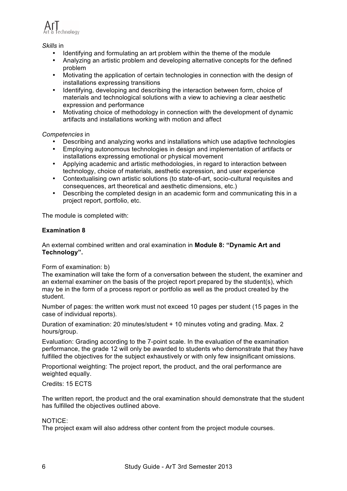

*Skills* in

- Identifying and formulating an art problem within the theme of the module<br>• Analyzing an artistic problem and developing alternative concepts for the
- Analyzing an artistic problem and developing alternative concepts for the defined problem
- Motivating the application of certain technologies in connection with the design of installations expressing transitions
- Identifying, developing and describing the interaction between form, choice of materials and technological solutions with a view to achieving a clear aesthetic expression and performance
- Motivating choice of methodology in connection with the development of dynamic artifacts and installations working with motion and affect

*Competencies* in

- Describing and analyzing works and installations which use adaptive technologies
- Employing autonomous technologies in design and implementation of artifacts or installations expressing emotional or physical movement
- Applying academic and artistic methodologies, in regard to interaction between technology, choice of materials, aesthetic expression, and user experience
- Contextualising own artistic solutions (to state-of-art, socio-cultural requisites and consequences, art theoretical and aesthetic dimensions, etc.)
- Describing the completed design in an academic form and communicating this in a project report, portfolio, etc.

The module is completed with:

#### **Examination 8**

An external combined written and oral examination in **Module 8: "Dynamic Art and Technology".** 

#### Form of examination: b)

The examination will take the form of a conversation between the student, the examiner and an external examiner on the basis of the project report prepared by the student(s), which may be in the form of a process report or portfolio as well as the product created by the student.

Number of pages: the written work must not exceed 10 pages per student (15 pages in the case of individual reports).

Duration of examination: 20 minutes/student + 10 minutes voting and grading. Max. 2 hours/group.

Evaluation: Grading according to the 7-point scale. In the evaluation of the examination performance, the grade 12 will only be awarded to students who demonstrate that they have fulfilled the objectives for the subject exhaustively or with only few insignificant omissions.

Proportional weighting: The project report, the product, and the oral performance are weighted equally.

Credits: 15 ECTS

The written report, the product and the oral examination should demonstrate that the student has fulfilled the objectives outlined above.

#### NOTICE:

The project exam will also address other content from the project module courses.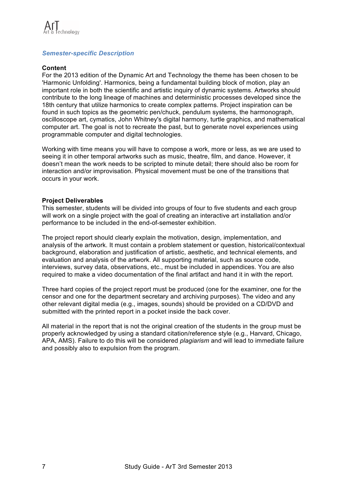#### *Semester-specific Description*

#### **Content**

For the 2013 edition of the Dynamic Art and Technology the theme has been chosen to be 'Harmonic Unfolding'. Harmonics, being a fundamental building block of motion, play an important role in both the scientific and artistic inquiry of dynamic systems. Artworks should contribute to the long lineage of machines and deterministic processes developed since the 18th century that utilize harmonics to create complex patterns. Project inspiration can be found in such topics as the geometric pen/chuck, pendulum systems, the harmonograph, oscilloscope art, cymatics, John Whitney's digital harmony, turtle graphics, and mathematical computer art. The goal is not to recreate the past, but to generate novel experiences using programmable computer and digital technologies.

Working with time means you will have to compose a work, more or less, as we are used to seeing it in other temporal artworks such as music, theatre, film, and dance. However, it doesn't mean the work needs to be scripted to minute detail; there should also be room for interaction and/or improvisation. Physical movement must be one of the transitions that occurs in your work.

#### **Project Deliverables**

This semester, students will be divided into groups of four to five students and each group will work on a single project with the goal of creating an interactive art installation and/or performance to be included in the end-of-semester exhibition.

The project report should clearly explain the motivation, design, implementation, and analysis of the artwork. It must contain a problem statement or question, historical/contextual background, elaboration and justification of artistic, aesthetic, and technical elements, and evaluation and analysis of the artwork. All supporting material, such as source code, interviews, survey data, observations, etc., must be included in appendices. You are also required to make a video documentation of the final artifact and hand it in with the report.

Three hard copies of the project report must be produced (one for the examiner, one for the censor and one for the department secretary and archiving purposes). The video and any other relevant digital media (e.g., images, sounds) should be provided on a CD/DVD and submitted with the printed report in a pocket inside the back cover.

All material in the report that is not the original creation of the students in the group must be properly acknowledged by using a standard citation/reference style (e.g., Harvard, Chicago, APA, AMS). Failure to do this will be considered *plagiarism* and will lead to immediate failure and possibly also to expulsion from the program.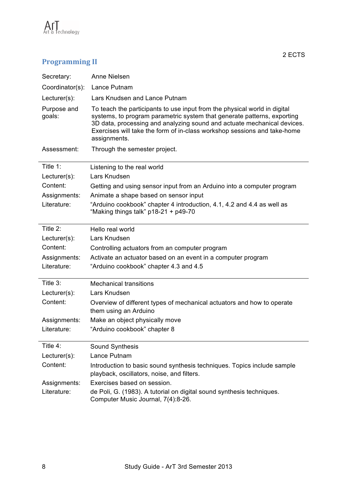

### **Programming II**

| Secretary:            | Anne Nielsen                                                                                                                                                                                                                                                                                                                |
|-----------------------|-----------------------------------------------------------------------------------------------------------------------------------------------------------------------------------------------------------------------------------------------------------------------------------------------------------------------------|
| Coordinator(s):       | Lance Putnam                                                                                                                                                                                                                                                                                                                |
| Lecturer(s):          | Lars Knudsen and Lance Putnam                                                                                                                                                                                                                                                                                               |
| Purpose and<br>goals: | To teach the participants to use input from the physical world in digital<br>systems, to program parametric system that generate patterns, exporting<br>3D data, processing and analyzing sound and actuate mechanical devices.<br>Exercises will take the form of in-class workshop sessions and take-home<br>assignments. |
| Assessment:           | Through the semester project.                                                                                                                                                                                                                                                                                               |
| Title $1$ :           | Listening to the real world                                                                                                                                                                                                                                                                                                 |
| Lecturer(s):          | Lars Knudsen                                                                                                                                                                                                                                                                                                                |
| Content:              | Getting and using sensor input from an Arduino into a computer program                                                                                                                                                                                                                                                      |
| Assignments:          | Animate a shape based on sensor input                                                                                                                                                                                                                                                                                       |
| Literature:           | "Arduino cookbook" chapter 4 introduction, 4.1, 4.2 and 4.4 as well as<br>"Making things talk" p18-21 + p49-70                                                                                                                                                                                                              |
| Title 2:              | Hello real world                                                                                                                                                                                                                                                                                                            |
| Lecturer(s):          | Lars Knudsen                                                                                                                                                                                                                                                                                                                |
| Content:              | Controlling actuators from an computer program                                                                                                                                                                                                                                                                              |
| Assignments:          | Activate an actuator based on an event in a computer program                                                                                                                                                                                                                                                                |
| Literature:           | "Arduino cookbook" chapter 4.3 and 4.5                                                                                                                                                                                                                                                                                      |
| Title 3:              | <b>Mechanical transitions</b>                                                                                                                                                                                                                                                                                               |
| Lecturer(s):          | Lars Knudsen                                                                                                                                                                                                                                                                                                                |
| Content:              | Overview of different types of mechanical actuators and how to operate<br>them using an Arduino                                                                                                                                                                                                                             |
| Assignments:          | Make an object physically move                                                                                                                                                                                                                                                                                              |
| Literature:           | "Arduino cookbook" chapter 8                                                                                                                                                                                                                                                                                                |
| Title 4:              | Sound Synthesis                                                                                                                                                                                                                                                                                                             |
| Lecturer(s):          | Lance Putnam                                                                                                                                                                                                                                                                                                                |
| Content:              | Introduction to basic sound synthesis techniques. Topics include sample<br>playback, oscillators, noise, and filters.                                                                                                                                                                                                       |
| Assignments:          | Exercises based on session.                                                                                                                                                                                                                                                                                                 |
| Literature:           | de Poli, G. (1983). A tutorial on digital sound synthesis techniques.<br>Computer Music Journal, 7(4):8-26.                                                                                                                                                                                                                 |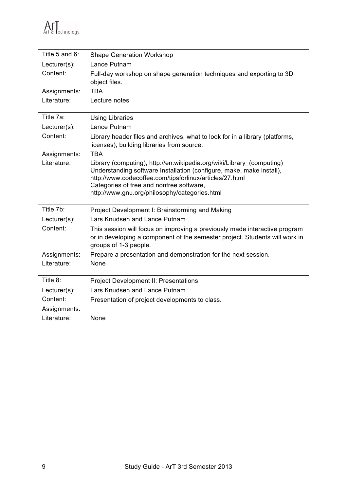| Title 5 and 6: |                                                                                                                                                                                                                                                                                                       |
|----------------|-------------------------------------------------------------------------------------------------------------------------------------------------------------------------------------------------------------------------------------------------------------------------------------------------------|
|                | <b>Shape Generation Workshop</b>                                                                                                                                                                                                                                                                      |
| Lecturer(s):   | Lance Putnam                                                                                                                                                                                                                                                                                          |
| Content:       | Full-day workshop on shape generation techniques and exporting to 3D<br>object files.                                                                                                                                                                                                                 |
| Assignments:   | <b>TBA</b>                                                                                                                                                                                                                                                                                            |
| Literature:    | Lecture notes                                                                                                                                                                                                                                                                                         |
| Title 7a:      | <b>Using Libraries</b>                                                                                                                                                                                                                                                                                |
| Lecturer(s):   | Lance Putnam                                                                                                                                                                                                                                                                                          |
| Content:       | Library header files and archives, what to look for in a library (platforms,<br>licenses), building libraries from source.                                                                                                                                                                            |
| Assignments:   | <b>TBA</b>                                                                                                                                                                                                                                                                                            |
| Literature:    | Library (computing), http://en.wikipedia.org/wiki/Library_(computing)<br>Understanding software Installation (configure, make, make install),<br>http://www.codecoffee.com/tipsforlinux/articles/27.html<br>Categories of free and nonfree software,<br>http://www.gnu.org/philosophy/categories.html |
| Title 7b:      | Project Development I: Brainstorming and Making                                                                                                                                                                                                                                                       |
| Lecturer(s):   | Lars Knudsen and Lance Putnam                                                                                                                                                                                                                                                                         |
| Content:       | This session will focus on improving a previously made interactive program<br>or in developing a component of the semester project. Students will work in<br>groups of 1-3 people.                                                                                                                    |
| Assignments:   | Prepare a presentation and demonstration for the next session.                                                                                                                                                                                                                                        |
| Literature:    | None                                                                                                                                                                                                                                                                                                  |
| Title 8:       | <b>Project Development II: Presentations</b>                                                                                                                                                                                                                                                          |
| Lecturer(s):   | Lars Knudsen and Lance Putnam                                                                                                                                                                                                                                                                         |
| Content:       | Presentation of project developments to class.                                                                                                                                                                                                                                                        |
| Assignments:   |                                                                                                                                                                                                                                                                                                       |
| Literature:    | None                                                                                                                                                                                                                                                                                                  |
|                |                                                                                                                                                                                                                                                                                                       |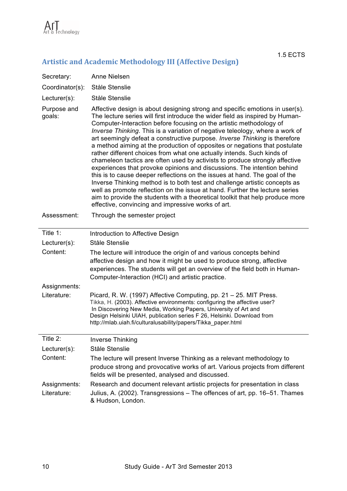

### **Artistic and Academic Methodology III (Affective Design)**

| Secretary:            | Anne Nielsen                                                                                                                                                                                                                                                                                                                                                                                                                                                                                                                                                                                                                                                                                                                                                                                                                                                                                                                                                                                                                                                                                           |
|-----------------------|--------------------------------------------------------------------------------------------------------------------------------------------------------------------------------------------------------------------------------------------------------------------------------------------------------------------------------------------------------------------------------------------------------------------------------------------------------------------------------------------------------------------------------------------------------------------------------------------------------------------------------------------------------------------------------------------------------------------------------------------------------------------------------------------------------------------------------------------------------------------------------------------------------------------------------------------------------------------------------------------------------------------------------------------------------------------------------------------------------|
| Coordinator(s):       | Ståle Stenslie                                                                                                                                                                                                                                                                                                                                                                                                                                                                                                                                                                                                                                                                                                                                                                                                                                                                                                                                                                                                                                                                                         |
| Lecturer(s):          | Ståle Stenslie                                                                                                                                                                                                                                                                                                                                                                                                                                                                                                                                                                                                                                                                                                                                                                                                                                                                                                                                                                                                                                                                                         |
| Purpose and<br>goals: | Affective design is about designing strong and specific emotions in user(s).<br>The lecture series will first introduce the wider field as inspired by Human-<br>Computer-Interaction before focusing on the artistic methodology of<br>Inverse Thinking. This is a variation of negative teleology, where a work of<br>art seemingly defeat a constructive purpose. Inverse Thinking is therefore<br>a method aiming at the production of opposites or negations that postulate<br>rather different choices from what one actually intends. Such kinds of<br>chameleon tactics are often used by activists to produce strongly affective<br>experiences that provoke opinions and discussions. The intention behind<br>this is to cause deeper reflections on the issues at hand. The goal of the<br>Inverse Thinking method is to both test and challenge artistic concepts as<br>well as promote reflection on the issue at hand. Further the lecture series<br>aim to provide the students with a theoretical toolkit that help produce more<br>effective, convincing and impressive works of art. |
| Assessment:           | Through the semester project                                                                                                                                                                                                                                                                                                                                                                                                                                                                                                                                                                                                                                                                                                                                                                                                                                                                                                                                                                                                                                                                           |
| Title 1:              | Introduction to Affective Design                                                                                                                                                                                                                                                                                                                                                                                                                                                                                                                                                                                                                                                                                                                                                                                                                                                                                                                                                                                                                                                                       |
| Lecturer(s):          | Ståle Stenslie                                                                                                                                                                                                                                                                                                                                                                                                                                                                                                                                                                                                                                                                                                                                                                                                                                                                                                                                                                                                                                                                                         |
| Content:              | The lecture will introduce the origin of and various concepts behind<br>affective design and how it might be used to produce strong, affective<br>experiences. The students will get an overview of the field both in Human-<br>Computer-Interaction (HCI) and artistic practice.                                                                                                                                                                                                                                                                                                                                                                                                                                                                                                                                                                                                                                                                                                                                                                                                                      |
| Assignments:          |                                                                                                                                                                                                                                                                                                                                                                                                                                                                                                                                                                                                                                                                                                                                                                                                                                                                                                                                                                                                                                                                                                        |
| Literature:           | Picard, R. W. (1997) Affective Computing, pp. 21 - 25. MIT Press.<br>Tikka, H. (2003). Affective environments: configuring the affective user?<br>In Discovering New Media, Working Papers, University of Art and<br>Design Helsinki UIAH, publication series F 26, Helsinki. Download from<br>http://mlab.uiah.fi/culturalusability/papers/Tikka_paper.html                                                                                                                                                                                                                                                                                                                                                                                                                                                                                                                                                                                                                                                                                                                                           |
| Title 2:              | <b>Inverse Thinking</b>                                                                                                                                                                                                                                                                                                                                                                                                                                                                                                                                                                                                                                                                                                                                                                                                                                                                                                                                                                                                                                                                                |
| Lecturer(s):          | Ståle Stenslie                                                                                                                                                                                                                                                                                                                                                                                                                                                                                                                                                                                                                                                                                                                                                                                                                                                                                                                                                                                                                                                                                         |
| Content:              | The lecture will present Inverse Thinking as a relevant methodology to<br>produce strong and provocative works of art. Various projects from different<br>fields will be presented, analysed and discussed.                                                                                                                                                                                                                                                                                                                                                                                                                                                                                                                                                                                                                                                                                                                                                                                                                                                                                            |
| Assignments:          | Research and document relevant artistic projects for presentation in class                                                                                                                                                                                                                                                                                                                                                                                                                                                                                                                                                                                                                                                                                                                                                                                                                                                                                                                                                                                                                             |
| Literature:           | Julius, A. (2002). Transgressions - The offences of art, pp. 16-51. Thames<br>& Hudson, London.                                                                                                                                                                                                                                                                                                                                                                                                                                                                                                                                                                                                                                                                                                                                                                                                                                                                                                                                                                                                        |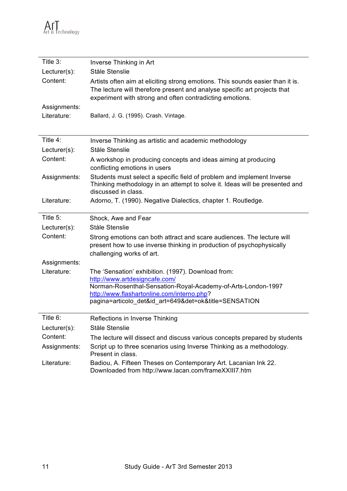| Title 3:        | Inverse Thinking in Art                                                                                                                                                                                                 |
|-----------------|-------------------------------------------------------------------------------------------------------------------------------------------------------------------------------------------------------------------------|
| Lecturer(s):    | Ståle Stenslie                                                                                                                                                                                                          |
| Content:        | Artists often aim at eliciting strong emotions. This sounds easier than it is.<br>The lecture will therefore present and analyse specific art projects that<br>experiment with strong and often contradicting emotions. |
| Assignments:    |                                                                                                                                                                                                                         |
| Literature:     | Ballard, J. G. (1995). Crash. Vintage.                                                                                                                                                                                  |
| Title 4:        | Inverse Thinking as artistic and academic methodology                                                                                                                                                                   |
| $Lecturer(s)$ : | Ståle Stenslie                                                                                                                                                                                                          |
| Content:        | A workshop in producing concepts and ideas aiming at producing<br>conflicting emotions in users                                                                                                                         |
| Assignments:    | Students must select a specific field of problem and implement Inverse<br>Thinking methodology in an attempt to solve it. Ideas will be presented and<br>discussed in class.                                            |
| Literature:     | Adorno, T. (1990). Negative Dialectics, chapter 1. Routledge.                                                                                                                                                           |
| Title 5:        | Shock, Awe and Fear                                                                                                                                                                                                     |
| Lecturer(s):    | Ståle Stenslie                                                                                                                                                                                                          |
| Content:        | Strong emotions can both attract and scare audiences. The lecture will<br>present how to use inverse thinking in production of psychophysically<br>challenging works of art.                                            |
| Assignments:    |                                                                                                                                                                                                                         |
| Literature:     | The 'Sensation' exhibition. (1997). Download from:                                                                                                                                                                      |
|                 | http://www.artdesigncafe.com/                                                                                                                                                                                           |
|                 | Norman-Rosenthal-Sensation-Royal-Academy-of-Arts-London-1997<br>http://www.flashartonline.com/interno.php?                                                                                                              |
|                 | pagina=articolo_det&id_art=649&det=ok&title=SENSATION                                                                                                                                                                   |
| Title 6:        | Reflections in Inverse Thinking                                                                                                                                                                                         |
| Lecturer(s):    | Ståle Stenslie                                                                                                                                                                                                          |
| Content:        | The lecture will dissect and discuss various concepts prepared by students                                                                                                                                              |
| Assignments:    | Script up to three scenarios using Inverse Thinking as a methodology.<br>Present in class.                                                                                                                              |
| Literature:     | Badiou, A. Fifteen Theses on Contemporary Art. Lacanian Ink 22.<br>Downloaded from http://www.lacan.com/frameXXIII7.htm                                                                                                 |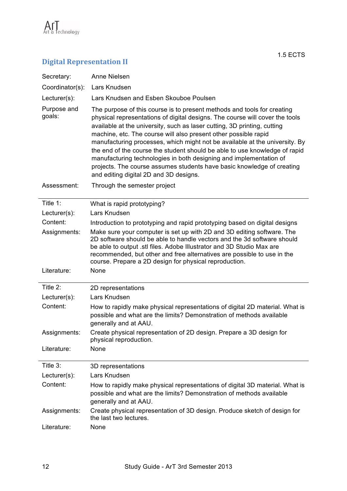

### **Digital Representation II**

| Secretary:            | Anne Nielsen                                                                                                                                                                                                                                                                                                                                                                                                                                                                                                                                                                                                                                                  |
|-----------------------|---------------------------------------------------------------------------------------------------------------------------------------------------------------------------------------------------------------------------------------------------------------------------------------------------------------------------------------------------------------------------------------------------------------------------------------------------------------------------------------------------------------------------------------------------------------------------------------------------------------------------------------------------------------|
| Coordinator(s):       | Lars Knudsen                                                                                                                                                                                                                                                                                                                                                                                                                                                                                                                                                                                                                                                  |
| Lecturer(s):          | Lars Knudsen and Esben Skouboe Poulsen                                                                                                                                                                                                                                                                                                                                                                                                                                                                                                                                                                                                                        |
| Purpose and<br>goals: | The purpose of this course is to present methods and tools for creating<br>physical representations of digital designs. The course will cover the tools<br>available at the university, such as laser cutting, 3D printing, cutting<br>machine, etc. The course will also present other possible rapid<br>manufacturing processes, which might not be available at the university. By<br>the end of the course the student should be able to use knowledge of rapid<br>manufacturing technologies in both designing and implementation of<br>projects. The course assumes students have basic knowledge of creating<br>and editing digital 2D and 3D designs. |
| Assessment:           | Through the semester project                                                                                                                                                                                                                                                                                                                                                                                                                                                                                                                                                                                                                                  |
| Title 1:              | What is rapid prototyping?                                                                                                                                                                                                                                                                                                                                                                                                                                                                                                                                                                                                                                    |
| $Lecturer(s)$ :       | Lars Knudsen                                                                                                                                                                                                                                                                                                                                                                                                                                                                                                                                                                                                                                                  |
| Content:              | Introduction to prototyping and rapid prototyping based on digital designs                                                                                                                                                                                                                                                                                                                                                                                                                                                                                                                                                                                    |
| Assignments:          | Make sure your computer is set up with 2D and 3D editing software. The<br>2D software should be able to handle vectors and the 3d software should<br>be able to output .stl files. Adobe Illustrator and 3D Studio Max are<br>recommended, but other and free alternatives are possible to use in the                                                                                                                                                                                                                                                                                                                                                         |
|                       |                                                                                                                                                                                                                                                                                                                                                                                                                                                                                                                                                                                                                                                               |
| Literature:           | course. Prepare a 2D design for physical reproduction.<br>None                                                                                                                                                                                                                                                                                                                                                                                                                                                                                                                                                                                                |
| Title 2:              | 2D representations                                                                                                                                                                                                                                                                                                                                                                                                                                                                                                                                                                                                                                            |
| Lecturer(s):          | Lars Knudsen                                                                                                                                                                                                                                                                                                                                                                                                                                                                                                                                                                                                                                                  |
| Content:              | How to rapidly make physical representations of digital 2D material. What is<br>possible and what are the limits? Demonstration of methods available<br>generally and at AAU.                                                                                                                                                                                                                                                                                                                                                                                                                                                                                 |
| Assignments:          | Create physical representation of 2D design. Prepare a 3D design for<br>physical reproduction.                                                                                                                                                                                                                                                                                                                                                                                                                                                                                                                                                                |
| Literature:           | None                                                                                                                                                                                                                                                                                                                                                                                                                                                                                                                                                                                                                                                          |
| Title 3:              | 3D representations                                                                                                                                                                                                                                                                                                                                                                                                                                                                                                                                                                                                                                            |
| Lecturer(s):          | Lars Knudsen                                                                                                                                                                                                                                                                                                                                                                                                                                                                                                                                                                                                                                                  |
| Content:              | How to rapidly make physical representations of digital 3D material. What is<br>possible and what are the limits? Demonstration of methods available<br>generally and at AAU.                                                                                                                                                                                                                                                                                                                                                                                                                                                                                 |
| Assignments:          | Create physical representation of 3D design. Produce sketch of design for<br>the last two lectures.                                                                                                                                                                                                                                                                                                                                                                                                                                                                                                                                                           |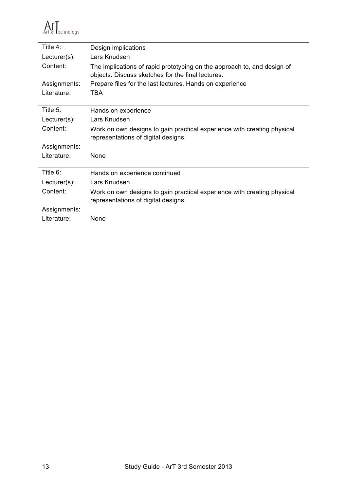| Title 4:        | Design implications                                                                                                          |
|-----------------|------------------------------------------------------------------------------------------------------------------------------|
| $Lecturer(s)$ : | Lars Knudsen                                                                                                                 |
| Content:        | The implications of rapid prototyping on the approach to, and design of<br>objects. Discuss sketches for the final lectures. |
| Assignments:    | Prepare files for the last lectures, Hands on experience                                                                     |
| Literature:     | TBA                                                                                                                          |
|                 |                                                                                                                              |
| Title $5:$      | Hands on experience                                                                                                          |
| $Lecturer(s)$ : | Lars Knudsen                                                                                                                 |
| Content:        | Work on own designs to gain practical experience with creating physical<br>representations of digital designs.               |
| Assignments:    |                                                                                                                              |
| Literature:     | None                                                                                                                         |
|                 |                                                                                                                              |
| Title 6:        | Hands on experience continued                                                                                                |
| Lecturer(s):    | Lars Knudsen                                                                                                                 |
| Content:        | Work on own designs to gain practical experience with creating physical<br>representations of digital designs.               |
| Assignments:    |                                                                                                                              |
| Literature:     | None                                                                                                                         |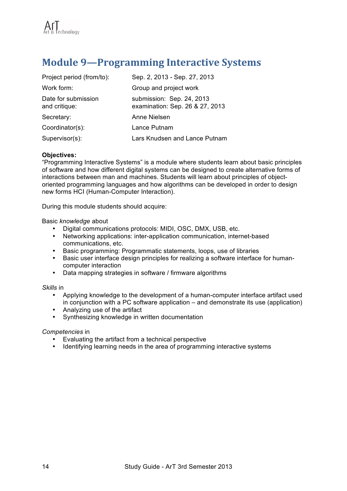# **Module 9-Programming Interactive Systems**

| Project period (from/to):            | Sep. 2, 2013 - Sep. 27, 2013                                 |
|--------------------------------------|--------------------------------------------------------------|
| Work form:                           | Group and project work                                       |
| Date for submission<br>and critique: | submission: Sep. 24, 2013<br>examination: Sep. 26 & 27, 2013 |
| Secretary:                           | Anne Nielsen                                                 |
| Coordinator(s):                      | Lance Putnam                                                 |
| Supervisor(s):                       | Lars Knudsen and Lance Putnam                                |

#### **Objectives:**

"Programming Interactive Systems" is a module where students learn about basic principles of software and how different digital systems can be designed to create alternative forms of interactions between man and machines. Students will learn about principles of objectoriented programming languages and how algorithms can be developed in order to design new forms HCI (Human-Computer Interaction).

During this module students should acquire:

Basic *knowledge* about

- Digital communications protocols: MIDI, OSC, DMX, USB, etc.
- Networking applications: inter-application communication, internet-based communications, etc.
- Basic programming: Programmatic statements, loops, use of libraries
- Basic user interface design principles for realizing a software interface for humancomputer interaction
- Data mapping strategies in software / firmware algorithms

#### *Skills* in

- Applying knowledge to the development of a human-computer interface artifact used in conjunction with a PC software application – and demonstrate its use (application)
- Analyzing use of the artifact<br>• Synthesizing knowledge in w
- Synthesizing knowledge in written documentation

#### *Competencies* in

- Evaluating the artifact from a technical perspective
- Identifying learning needs in the area of programming interactive systems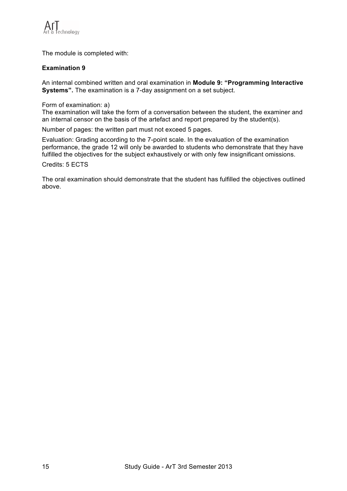

The module is completed with:

#### **Examination 9**

An internal combined written and oral examination in **Module 9: "Programming Interactive Systems".** The examination is a 7-day assignment on a set subject.

Form of examination: a)

The examination will take the form of a conversation between the student, the examiner and an internal censor on the basis of the artefact and report prepared by the student(s).

Number of pages: the written part must not exceed 5 pages.

Evaluation: Grading according to the 7-point scale. In the evaluation of the examination performance, the grade 12 will only be awarded to students who demonstrate that they have fulfilled the objectives for the subject exhaustively or with only few insignificant omissions. Credits: 5 ECTS

The oral examination should demonstrate that the student has fulfilled the objectives outlined above.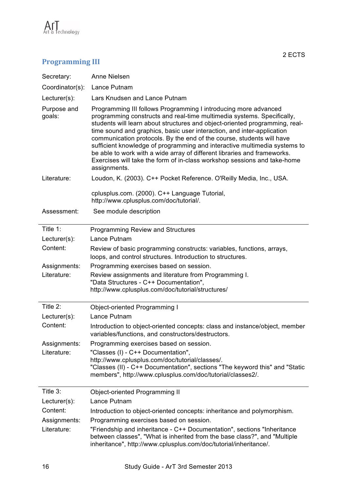

### Programming III

| Secretary:            | <b>Anne Nielsen</b>                                                                                                                                                                                                                                                                                                                                                                                                                                                                                                                                                                                                              |
|-----------------------|----------------------------------------------------------------------------------------------------------------------------------------------------------------------------------------------------------------------------------------------------------------------------------------------------------------------------------------------------------------------------------------------------------------------------------------------------------------------------------------------------------------------------------------------------------------------------------------------------------------------------------|
| Coordinator(s):       | Lance Putnam                                                                                                                                                                                                                                                                                                                                                                                                                                                                                                                                                                                                                     |
| Lecturer(s):          | Lars Knudsen and Lance Putnam                                                                                                                                                                                                                                                                                                                                                                                                                                                                                                                                                                                                    |
| Purpose and<br>goals: | Programming III follows Programming I introducing more advanced<br>programming constructs and real-time multimedia systems. Specifically,<br>students will learn about structures and object-oriented programming, real-<br>time sound and graphics, basic user interaction, and inter-application<br>communication protocols. By the end of the course, students will have<br>sufficient knowledge of programming and interactive multimedia systems to<br>be able to work with a wide array of different libraries and frameworks.<br>Exercises will take the form of in-class workshop sessions and take-home<br>assignments. |
| Literature:           | Loudon, K. (2003). C++ Pocket Reference. O'Reilly Media, Inc., USA.                                                                                                                                                                                                                                                                                                                                                                                                                                                                                                                                                              |
|                       | cplusplus.com. (2000). C++ Language Tutorial,<br>http://www.cplusplus.com/doc/tutorial/.                                                                                                                                                                                                                                                                                                                                                                                                                                                                                                                                         |
| Assessment:           | See module description                                                                                                                                                                                                                                                                                                                                                                                                                                                                                                                                                                                                           |
| Title 1:              | <b>Programming Review and Structures</b>                                                                                                                                                                                                                                                                                                                                                                                                                                                                                                                                                                                         |
| Lecturer(s):          | Lance Putnam                                                                                                                                                                                                                                                                                                                                                                                                                                                                                                                                                                                                                     |
| Content:              | Review of basic programming constructs: variables, functions, arrays,<br>loops, and control structures. Introduction to structures.                                                                                                                                                                                                                                                                                                                                                                                                                                                                                              |
| Assignments:          | Programming exercises based on session.                                                                                                                                                                                                                                                                                                                                                                                                                                                                                                                                                                                          |
| Literature:           | Review assignments and literature from Programming I.<br>"Data Structures - C++ Documentation",<br>http://www.cplusplus.com/doc/tutorial/structures/                                                                                                                                                                                                                                                                                                                                                                                                                                                                             |
| Title 2:              | Object-oriented Programming I                                                                                                                                                                                                                                                                                                                                                                                                                                                                                                                                                                                                    |
| Lecturer(s):          | Lance Putnam                                                                                                                                                                                                                                                                                                                                                                                                                                                                                                                                                                                                                     |
| Content:              | Introduction to object-oriented concepts: class and instance/object, member<br>variables/functions, and constructors/destructors.                                                                                                                                                                                                                                                                                                                                                                                                                                                                                                |
| Assignments:          | Programming exercises based on session.                                                                                                                                                                                                                                                                                                                                                                                                                                                                                                                                                                                          |
| Literature:           | "Classes (I) - C++ Documentation",<br>http://www.cplusplus.com/doc/tutorial/classes/.<br>"Classes (II) - C++ Documentation", sections "The keyword this" and "Static<br>members", http://www.cplusplus.com/doc/tutorial/classes2/.                                                                                                                                                                                                                                                                                                                                                                                               |
| Title 3:              | Object-oriented Programming II                                                                                                                                                                                                                                                                                                                                                                                                                                                                                                                                                                                                   |
| $Lecturer(s)$ :       | Lance Putnam                                                                                                                                                                                                                                                                                                                                                                                                                                                                                                                                                                                                                     |
| Content:              | Introduction to object-oriented concepts: inheritance and polymorphism.                                                                                                                                                                                                                                                                                                                                                                                                                                                                                                                                                          |
| Assignments:          | Programming exercises based on session.                                                                                                                                                                                                                                                                                                                                                                                                                                                                                                                                                                                          |
| Literature:           | "Friendship and inheritance - C++ Documentation", sections "Inheritance"<br>between classes", "What is inherited from the base class?", and "Multiple<br>inheritance", http://www.cplusplus.com/doc/tutorial/inheritance/.                                                                                                                                                                                                                                                                                                                                                                                                       |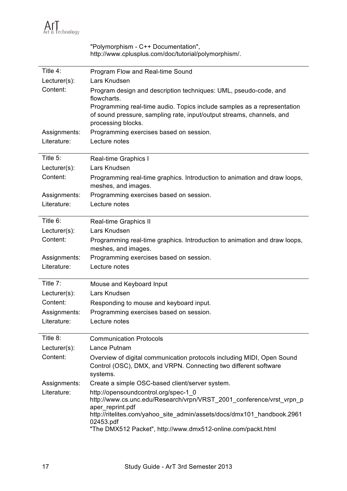

"Polymorphism - C++ Documentation", http://www.cplusplus.com/doc/tutorial/polymorphism/.

| Title $4$ :     | Program Flow and Real-time Sound                                                                                                                                                                                                                                                        |
|-----------------|-----------------------------------------------------------------------------------------------------------------------------------------------------------------------------------------------------------------------------------------------------------------------------------------|
| Lecturer(s):    | Lars Knudsen                                                                                                                                                                                                                                                                            |
| Content:        | Program design and description techniques: UML, pseudo-code, and<br>flowcharts.<br>Programming real-time audio. Topics include samples as a representation<br>of sound pressure, sampling rate, input/output streams, channels, and<br>processing blocks.                               |
| Assignments:    | Programming exercises based on session.                                                                                                                                                                                                                                                 |
| Literature:     | Lecture notes                                                                                                                                                                                                                                                                           |
| Title 5:        | Real-time Graphics I                                                                                                                                                                                                                                                                    |
| $Lecturer(s)$ : | Lars Knudsen                                                                                                                                                                                                                                                                            |
| Content:        | Programming real-time graphics. Introduction to animation and draw loops,<br>meshes, and images.                                                                                                                                                                                        |
| Assignments:    | Programming exercises based on session.                                                                                                                                                                                                                                                 |
| Literature:     | Lecture notes                                                                                                                                                                                                                                                                           |
| Title 6:        | Real-time Graphics II                                                                                                                                                                                                                                                                   |
| Lecturer(s):    | Lars Knudsen                                                                                                                                                                                                                                                                            |
| Content:        | Programming real-time graphics. Introduction to animation and draw loops,<br>meshes, and images.                                                                                                                                                                                        |
| Assignments:    | Programming exercises based on session.                                                                                                                                                                                                                                                 |
| Literature:     | Lecture notes                                                                                                                                                                                                                                                                           |
| Title 7:        | Mouse and Keyboard Input                                                                                                                                                                                                                                                                |
| Lecturer(s):    | Lars Knudsen                                                                                                                                                                                                                                                                            |
| Content:        | Responding to mouse and keyboard input.                                                                                                                                                                                                                                                 |
| Assignments:    | Programming exercises based on session.                                                                                                                                                                                                                                                 |
| Literature:     | Lecture notes                                                                                                                                                                                                                                                                           |
| Title 8:        | <b>Communication Protocols</b>                                                                                                                                                                                                                                                          |
| Lecturer(s):    | Lance Putnam                                                                                                                                                                                                                                                                            |
| Content:        | Overview of digital communication protocols including MIDI, Open Sound<br>Control (OSC), DMX, and VRPN. Connecting two different software<br>systems.                                                                                                                                   |
| Assignments:    | Create a simple OSC-based client/server system.                                                                                                                                                                                                                                         |
| Literature:     | http://opensoundcontrol.org/spec-1_0<br>http://www.cs.unc.edu/Research/vrpn/VRST 2001 conference/vrst vrpn p<br>aper_reprint.pdf<br>http://ritelites.com/yahoo_site_admin/assets/docs/dmx101_handbook.2961<br>02453.pdf<br>"The DMX512 Packet", http://www.dmx512-online.com/packt.html |
|                 |                                                                                                                                                                                                                                                                                         |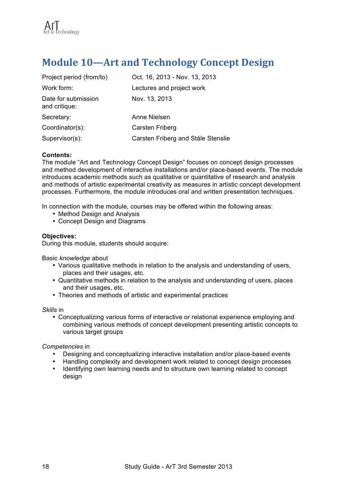# **Module 10-Art and Technology Concept Design**

| Project period (from/to)             | Oct. 16, 2013 - Nov. 13, 2013      |
|--------------------------------------|------------------------------------|
| Work form:                           | Lectures and project work          |
| Date for submission<br>and critique: | Nov. 13, 2013                      |
| Secretary:                           | Anne Nielsen                       |
| Coordinator(s):                      | Carsten Friberg                    |
| Supervisor(s):                       | Carsten Friberg and Ståle Stenslie |

#### **Contents:**

The module "Art and Technology Concept Design" focuses on concept design processes and method development of interactive installations and/or place-based events. The module introduces academic methods such as qualitative or quantitative of research and analysis and methods of artistic experimental creativity as measures in artistic concept development processes. Furthermore, the module introduces oral and written presentation techniques.

In connection with the module, courses may be offered within the following areas:

- Method Design and Analysis
- Concept Design and Diagrams

#### **Objectives:**

During this module, students should acquire:

Basic *knowledge* about

- Various qualitative methods in relation to the analysis and understanding of users, places and their usages, etc.
- Quantitative methods in relation to the analysis and understanding of users, places and their usages, etc.
- Theories and methods of artistic and experimental practices

#### *Skills* in

• Conceptualizing various forms of interactive or relational experience employing and combining various methods of concept development presenting artistic concepts to various target groups

*Competencies* in

- Designing and conceptualizing interactive installation and/or place-based events
- 
- Handling complexity and development work related to concept design processes<br>• Identifying own learning needs and to structure own learning related to concept • Identifying own learning needs and to structure own learning related to concept design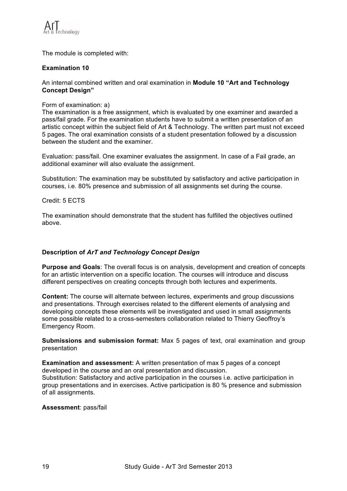

The module is completed with:

#### **Examination 10**

An internal combined written and oral examination in **Module 10 "Art and Technology Concept Design"**

Form of examination: a)

The examination is a free assignment, which is evaluated by one examiner and awarded a pass/fail grade. For the examination students have to submit a written presentation of an artistic concept within the subject field of Art & Technology. The written part must not exceed 5 pages. The oral examination consists of a student presentation followed by a discussion between the student and the examiner.

Evaluation: pass/fail. One examiner evaluates the assignment. In case of a Fail grade, an additional examiner will also evaluate the assignment.

Substitution: The examination may be substituted by satisfactory and active participation in courses, i.e. 80% presence and submission of all assignments set during the course.

Credit: 5 ECTS

The examination should demonstrate that the student has fulfilled the objectives outlined above.

#### **Description of** *ArT and Technology Concept Design*

**Purpose and Goals**: The overall focus is on analysis, development and creation of concepts for an artistic intervention on a specific location. The courses will introduce and discuss different perspectives on creating concepts through both lectures and experiments.

**Content:** The course will alternate between lectures, experiments and group discussions and presentations. Through exercises related to the different elements of analysing and developing concepts these elements will be investigated and used in small assignments some possible related to a cross-semesters collaboration related to Thierry Geoffroy's Emergency Room.

**Submissions and submission format:** Max 5 pages of text, oral examination and group presentation

**Examination and assessment:** A written presentation of max 5 pages of a concept developed in the course and an oral presentation and discussion. Substitution: Satisfactory and active participation in the courses i.e. active participation in group presentations and in exercises. Active participation is 80 % presence and submission of all assignments.

**Assessment**: pass/fail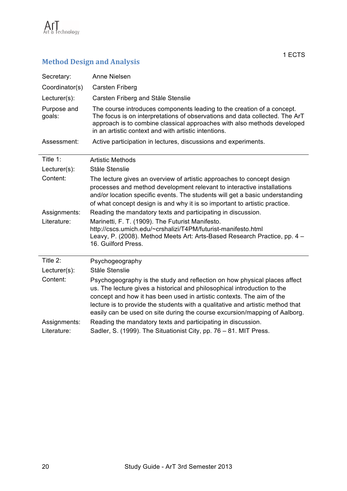

### **Method Design and Analysis**

| Secretary:            | Anne Nielsen                                                                                                                                                                                                                                                                                                                                                                                   |
|-----------------------|------------------------------------------------------------------------------------------------------------------------------------------------------------------------------------------------------------------------------------------------------------------------------------------------------------------------------------------------------------------------------------------------|
| Coordinator(s)        | Carsten Friberg                                                                                                                                                                                                                                                                                                                                                                                |
| Lecturer(s):          | Carsten Friberg and Ståle Stenslie                                                                                                                                                                                                                                                                                                                                                             |
| Purpose and<br>goals: | The course introduces components leading to the creation of a concept.<br>The focus is on interpretations of observations and data collected. The ArT<br>approach is to combine classical approaches with also methods developed<br>in an artistic context and with artistic intentions.                                                                                                       |
| Assessment:           | Active participation in lectures, discussions and experiments.                                                                                                                                                                                                                                                                                                                                 |
| Title 1:              | <b>Artistic Methods</b>                                                                                                                                                                                                                                                                                                                                                                        |
| Lecturer(s):          | Ståle Stenslie                                                                                                                                                                                                                                                                                                                                                                                 |
| Content:              | The lecture gives an overview of artistic approaches to concept design<br>processes and method development relevant to interactive installations<br>and/or location specific events. The students will get a basic understanding<br>of what concept design is and why it is so important to artistic practice.                                                                                 |
| Assignments:          | Reading the mandatory texts and participating in discussion.                                                                                                                                                                                                                                                                                                                                   |
| Literature:           | Marinetti, F. T. (1909). The Futurist Manifesto.<br>http://cscs.umich.edu/~crshalizi/T4PM/futurist-manifesto.html<br>Leavy, P. (2008). Method Meets Art: Arts-Based Research Practice, pp. 4 –<br>16. Guilford Press.                                                                                                                                                                          |
| Title 2:              | Psychogeography                                                                                                                                                                                                                                                                                                                                                                                |
| Lecturer(s):          | Ståle Stenslie                                                                                                                                                                                                                                                                                                                                                                                 |
| Content:              | Psychogeography is the study and reflection on how physical places affect<br>us. The lecture gives a historical and philosophical introduction to the<br>concept and how it has been used in artistic contexts. The aim of the<br>lecture is to provide the students with a qualitative and artistic method that<br>easily can be used on site during the course excursion/mapping of Aalborg. |
| Assignments:          | Reading the mandatory texts and participating in discussion.                                                                                                                                                                                                                                                                                                                                   |
| Literature:           | Sadler, S. (1999). The Situationist City, pp. 76 - 81. MIT Press.                                                                                                                                                                                                                                                                                                                              |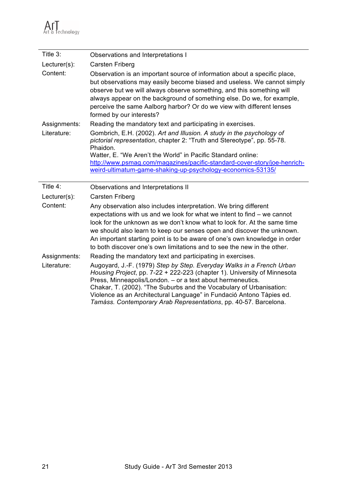| Title 3:     | Observations and Interpretations I                                                                                                                                                                                                                                                                                                                                                                                                                         |
|--------------|------------------------------------------------------------------------------------------------------------------------------------------------------------------------------------------------------------------------------------------------------------------------------------------------------------------------------------------------------------------------------------------------------------------------------------------------------------|
| Lecturer(s): | <b>Carsten Friberg</b>                                                                                                                                                                                                                                                                                                                                                                                                                                     |
| Content:     | Observation is an important source of information about a specific place,<br>but observations may easily become biased and useless. We cannot simply<br>observe but we will always observe something, and this something will<br>always appear on the background of something else. Do we, for example,<br>perceive the same Aalborg harbor? Or do we view with different lenses<br>formed by our interests?                                               |
| Assignments: | Reading the mandatory text and participating in exercises.                                                                                                                                                                                                                                                                                                                                                                                                 |
| Literature:  | Gombrich, E.H. (2002). Art and Illusion. A study in the psychology of<br>pictorial representation, chapter 2: "Truth and Stereotype", pp. 55-78.<br>Phaidon.                                                                                                                                                                                                                                                                                               |
|              | Watter, E. "We Aren't the World" in Pacific Standard online:                                                                                                                                                                                                                                                                                                                                                                                               |
|              | http://www.psmag.com/magazines/pacific-standard-cover-story/joe-henrich-                                                                                                                                                                                                                                                                                                                                                                                   |
|              | weird-ultimatum-game-shaking-up-psychology-economics-53135/                                                                                                                                                                                                                                                                                                                                                                                                |
| Title 4:     | Observations and Interpretations II                                                                                                                                                                                                                                                                                                                                                                                                                        |
| Lecturer(s): | <b>Carsten Friberg</b>                                                                                                                                                                                                                                                                                                                                                                                                                                     |
| Content:     | Any observation also includes interpretation. We bring different<br>expectations with us and we look for what we intent to find – we cannot<br>look for the unknown as we don't know what to look for. At the same time<br>we should also learn to keep our senses open and discover the unknown.<br>An important starting point is to be aware of one's own knowledge in order<br>to both discover one's own limitations and to see the new in the other. |
| Assignments: | Reading the mandatory text and participating in exercises.                                                                                                                                                                                                                                                                                                                                                                                                 |
| Literature:  | Augoyard, J.-F. (1979) Step by Step. Everyday Walks in a French Urban<br>Housing Project, pp. 7-22 + 222-223 (chapter 1). University of Minnesota<br>Press, Minneapolis/London. - or a text about hermeneutics.                                                                                                                                                                                                                                            |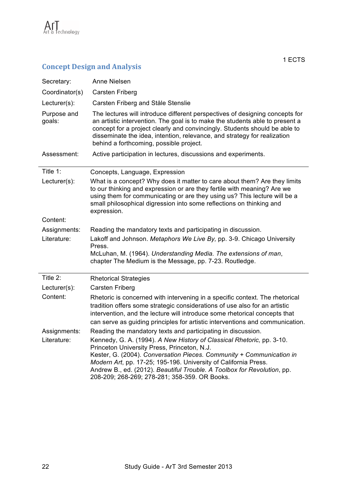

### **Concept Design and Analysis**

| Secretary:            | Anne Nielsen                                                                                                                                                                                                                                                                                                                                                                                |
|-----------------------|---------------------------------------------------------------------------------------------------------------------------------------------------------------------------------------------------------------------------------------------------------------------------------------------------------------------------------------------------------------------------------------------|
| Coordinator(s)        | <b>Carsten Friberg</b>                                                                                                                                                                                                                                                                                                                                                                      |
| Lecturer(s):          | Carsten Friberg and Ståle Stenslie                                                                                                                                                                                                                                                                                                                                                          |
| Purpose and<br>goals: | The lectures will introduce different perspectives of designing concepts for<br>an artistic intervention. The goal is to make the students able to present a<br>concept for a project clearly and convincingly. Students should be able to<br>disseminate the idea, intention, relevance, and strategy for realization<br>behind a forthcoming, possible project.                           |
| Assessment:           | Active participation in lectures, discussions and experiments.                                                                                                                                                                                                                                                                                                                              |
| Title 1:              | Concepts, Language, Expression                                                                                                                                                                                                                                                                                                                                                              |
| Lecturer(s):          | What is a concept? Why does it matter to care about them? Are they limits<br>to our thinking and expression or are they fertile with meaning? Are we<br>using them for communicating or are they using us? This lecture will be a<br>small philosophical digression into some reflections on thinking and<br>expression.                                                                    |
| Content:              |                                                                                                                                                                                                                                                                                                                                                                                             |
| Assignments:          | Reading the mandatory texts and participating in discussion.                                                                                                                                                                                                                                                                                                                                |
| Literature:           | Lakoff and Johnson. Metaphors We Live By, pp. 3-9. Chicago University<br>Press.                                                                                                                                                                                                                                                                                                             |
|                       | McLuhan, M. (1964). Understanding Media. The extensions of man,<br>chapter The Medium is the Message, pp. 7-23. Routledge.                                                                                                                                                                                                                                                                  |
| Title 2:              | <b>Rhetorical Strategies</b>                                                                                                                                                                                                                                                                                                                                                                |
| Lecturer(s):          | <b>Carsten Friberg</b>                                                                                                                                                                                                                                                                                                                                                                      |
| Content:              | Rhetoric is concerned with intervening in a specific context. The rhetorical<br>tradition offers some strategic considerations of use also for an artistic<br>intervention, and the lecture will introduce some rhetorical concepts that<br>can serve as guiding principles for artistic interventions and communication.                                                                   |
| Assignments:          | Reading the mandatory texts and participating in discussion.                                                                                                                                                                                                                                                                                                                                |
| Literature:           | Kennedy, G. A. (1994). A New History of Classical Rhetoric, pp. 3-10.<br>Princeton University Press, Princeton, N.J.<br>Kester, G. (2004). Conversation Pieces. Community + Communication in<br>Modern Art, pp. 17-25; 195-196. University of California Press.<br>Andrew B., ed. (2012). Beautiful Trouble. A Toolbox for Revolution, pp.<br>208-209; 268-269; 278-281; 358-359. OR Books. |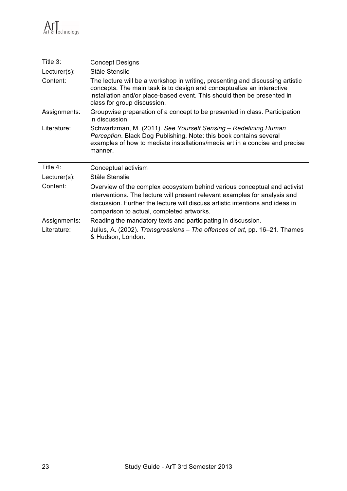| Title $3:$                  | <b>Concept Designs</b>                                                                                                                                                                                                                                                               |
|-----------------------------|--------------------------------------------------------------------------------------------------------------------------------------------------------------------------------------------------------------------------------------------------------------------------------------|
| Lecturer(s):                | Ståle Stenslie                                                                                                                                                                                                                                                                       |
| Content:                    | The lecture will be a workshop in writing, presenting and discussing artistic<br>concepts. The main task is to design and conceptualize an interactive<br>installation and/or place-based event. This should then be presented in<br>class for group discussion.                     |
| Assignments:                | Groupwise preparation of a concept to be presented in class. Participation<br>in discussion.                                                                                                                                                                                         |
| Literature:                 | Schwartzman, M. (2011). See Yourself Sensing - Redefining Human<br>Perception. Black Dog Publishing. Note: this book contains several<br>examples of how to mediate installations/media art in a concise and precise<br>manner.                                                      |
| Title $4$ :                 | Conceptual activism                                                                                                                                                                                                                                                                  |
| $Lecturer(s)$ :             | Ståle Stenslie                                                                                                                                                                                                                                                                       |
| Content:                    | Overview of the complex ecosystem behind various conceptual and activist<br>interventions. The lecture will present relevant examples for analysis and<br>discussion. Further the lecture will discuss artistic intentions and ideas in<br>comparison to actual, completed artworks. |
| Assignments:<br>Literature: | Reading the mandatory texts and participating in discussion.<br>Julius, A. (2002). Transgressions – The offences of art, pp. 16–21. Thames<br>& Hudson, London.                                                                                                                      |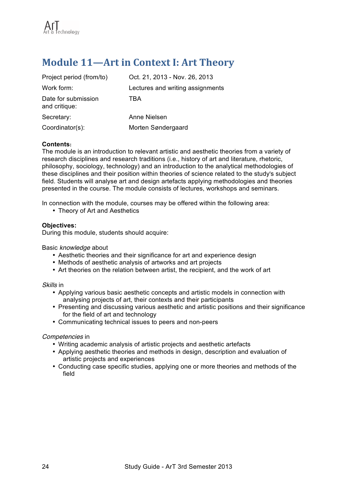# **Module 11-Art in Context I: Art Theory**

| Project period (from/to)             | Oct. 21, 2013 - Nov. 26, 2013    |
|--------------------------------------|----------------------------------|
| Work form:                           | Lectures and writing assignments |
| Date for submission<br>and critique: | TBA                              |
| Secretary:                           | Anne Nielsen                     |
| Coordinator(s):                      | Morten Søndergaard               |

#### **Contents:**

The module is an introduction to relevant artistic and aesthetic theories from a variety of research disciplines and research traditions (i.e., history of art and literature, rhetoric, philosophy, sociology, technology) and an introduction to the analytical methodologies of these disciplines and their position within theories of science related to the study's subject field. Students will analyse art and design artefacts applying methodologies and theories presented in the course. The module consists of lectures, workshops and seminars.

In connection with the module, courses may be offered within the following area:

• Theory of Art and Aesthetics

#### **Objectives:**

During this module, students should acquire:

Basic *knowledge* about

- Aesthetic theories and their significance for art and experience design
- Methods of aesthetic analysis of artworks and art projects
- Art theories on the relation between artist, the recipient, and the work of art

#### *Skills* in

- Applying various basic aesthetic concepts and artistic models in connection with analysing projects of art, their contexts and their participants
- Presenting and discussing various aesthetic and artistic positions and their significance for the field of art and technology
- Communicating technical issues to peers and non-peers

#### *Competencies* in

- Writing academic analysis of artistic projects and aesthetic artefacts
- Applying aesthetic theories and methods in design, description and evaluation of artistic projects and experiences
- Conducting case specific studies, applying one or more theories and methods of the field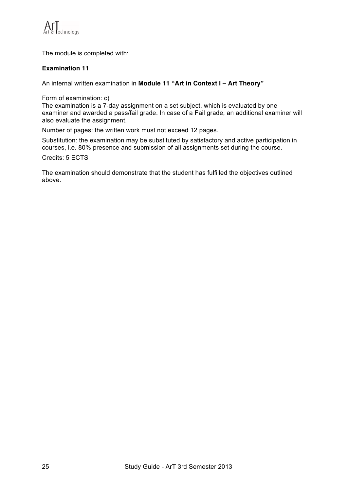

The module is completed with:

#### **Examination 11**

An internal written examination in **Module 11 "Art in Context I – Art Theory"**

Form of examination: c)

The examination is a 7-day assignment on a set subject, which is evaluated by one examiner and awarded a pass/fail grade. In case of a Fail grade, an additional examiner will also evaluate the assignment.

Number of pages: the written work must not exceed 12 pages.

Substitution: the examination may be substituted by satisfactory and active participation in courses, i.e. 80% presence and submission of all assignments set during the course.

Credits: 5 ECTS

The examination should demonstrate that the student has fulfilled the objectives outlined above.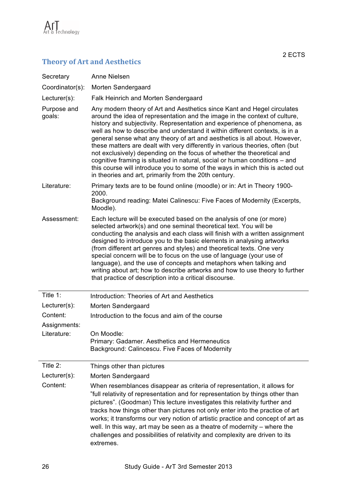

### **Theory of Art and Aesthetics**

| Secretary             | Anne Nielsen                                                                                                                                                                                                                                                                                                                                                                                                                                                                                                                                                                                                                                                                                                                                                                       |
|-----------------------|------------------------------------------------------------------------------------------------------------------------------------------------------------------------------------------------------------------------------------------------------------------------------------------------------------------------------------------------------------------------------------------------------------------------------------------------------------------------------------------------------------------------------------------------------------------------------------------------------------------------------------------------------------------------------------------------------------------------------------------------------------------------------------|
| Coordinator(s):       | Morten Søndergaard                                                                                                                                                                                                                                                                                                                                                                                                                                                                                                                                                                                                                                                                                                                                                                 |
| Lecturer(s):          | Falk Heinrich and Morten Søndergaard                                                                                                                                                                                                                                                                                                                                                                                                                                                                                                                                                                                                                                                                                                                                               |
| Purpose and<br>goals: | Any modern theory of Art and Aesthetics since Kant and Hegel circulates<br>around the idea of representation and the image in the context of culture,<br>history and subjectivity. Representation and experience of phenomena, as<br>well as how to describe and understand it within different contexts, is in a<br>general sense what any theory of art and aesthetics is all about. However,<br>these matters are dealt with very differently in various theories, often (but<br>not exclusively) depending on the focus of whether the theoretical and<br>cognitive framing is situated in natural, social or human conditions - and<br>this course will introduce you to some of the ways in which this is acted out<br>in theories and art, primarily from the 20th century. |
| Literature:           | Primary texts are to be found online (moodle) or in: Art in Theory 1900-<br>2000.<br>Background reading: Matei Calinescu: Five Faces of Modernity (Excerpts,                                                                                                                                                                                                                                                                                                                                                                                                                                                                                                                                                                                                                       |
| Assessment:           | Moodle).<br>Each lecture will be executed based on the analysis of one (or more)<br>selected artwork(s) and one seminal theoretical text. You will be<br>conducting the analysis and each class will finish with a written assignment<br>designed to introduce you to the basic elements in analysing artworks<br>(from different art genres and styles) and theoretical texts. One very<br>special concern will be to focus on the use of language (your use of<br>language), and the use of concepts and metaphors when talking and<br>writing about art; how to describe artworks and how to use theory to further<br>that practice of description into a critical discourse.                                                                                                   |
| Title 1:              | Introduction: Theories of Art and Aesthetics                                                                                                                                                                                                                                                                                                                                                                                                                                                                                                                                                                                                                                                                                                                                       |
| Lecturer(s):          | Morten Søndergaard                                                                                                                                                                                                                                                                                                                                                                                                                                                                                                                                                                                                                                                                                                                                                                 |
| Content:              | Introduction to the focus and aim of the course                                                                                                                                                                                                                                                                                                                                                                                                                                                                                                                                                                                                                                                                                                                                    |
| Assignments:          |                                                                                                                                                                                                                                                                                                                                                                                                                                                                                                                                                                                                                                                                                                                                                                                    |
| Literature:           | On Moodle:<br>Primary: Gadamer. Aesthetics and Hermeneutics<br>Background: Calincescu. Five Faces of Modernity                                                                                                                                                                                                                                                                                                                                                                                                                                                                                                                                                                                                                                                                     |
| Title 2:              | Things other than pictures                                                                                                                                                                                                                                                                                                                                                                                                                                                                                                                                                                                                                                                                                                                                                         |
| Lecturer(s):          | Morten Søndergaard                                                                                                                                                                                                                                                                                                                                                                                                                                                                                                                                                                                                                                                                                                                                                                 |
| Content:              | When resemblances disappear as criteria of representation, it allows for<br>"full relativity of representation and for representation by things other than<br>pictures". (Goodman) This lecture investigates this relativity further and<br>tracks how things other than pictures not only enter into the practice of art<br>works; it transforms our very notion of artistic practice and concept of art as<br>well. In this way, art may be seen as a theatre of modernity – where the<br>challenges and possibilities of relativity and complexity are driven to its<br>extremes.                                                                                                                                                                                               |

2 ECTS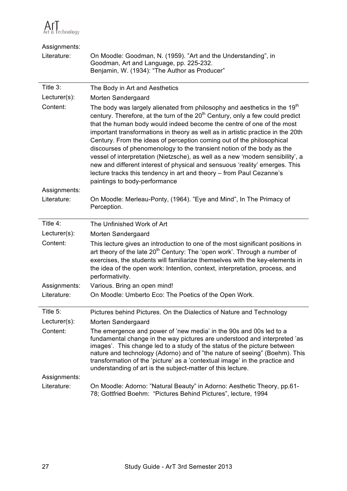

| Assignments:    |                                                                                                                                                                                                                                                                                                                                                                                                                                                                                                                                                                                                                                                                                                                                                                    |
|-----------------|--------------------------------------------------------------------------------------------------------------------------------------------------------------------------------------------------------------------------------------------------------------------------------------------------------------------------------------------------------------------------------------------------------------------------------------------------------------------------------------------------------------------------------------------------------------------------------------------------------------------------------------------------------------------------------------------------------------------------------------------------------------------|
| Literature:     | On Moodle: Goodman, N. (1959). "Art and the Understanding", in<br>Goodman, Art and Language, pp. 225-232.<br>Benjamin, W. (1934): "The Author as Producer"                                                                                                                                                                                                                                                                                                                                                                                                                                                                                                                                                                                                         |
| Title 3:        | The Body in Art and Aesthetics                                                                                                                                                                                                                                                                                                                                                                                                                                                                                                                                                                                                                                                                                                                                     |
| $Lecturer(s)$ : | Morten Søndergaard                                                                                                                                                                                                                                                                                                                                                                                                                                                                                                                                                                                                                                                                                                                                                 |
| Content:        | The body was largely alienated from philosophy and aesthetics in the 19 $th$<br>century. Therefore, at the turn of the 20 <sup>th</sup> Century, only a few could predict<br>that the human body would indeed become the centre of one of the most<br>important transformations in theory as well as in artistic practice in the 20th<br>Century. From the ideas of perception coming out of the philosophical<br>discourses of phenomenology to the transient notion of the body as the<br>vessel of interpretation (Nietzsche), as well as a new 'modern sensibility', a<br>new and different interest of physical and sensuous 'reality' emerges. This<br>lecture tracks this tendency in art and theory - from Paul Cezanne's<br>paintings to body-performance |
| Assignments:    |                                                                                                                                                                                                                                                                                                                                                                                                                                                                                                                                                                                                                                                                                                                                                                    |
| Literature:     | On Moodle: Merleau-Ponty, (1964). "Eye and Mind", In The Primacy of<br>Perception.                                                                                                                                                                                                                                                                                                                                                                                                                                                                                                                                                                                                                                                                                 |
| Title 4:        | The Unfinished Work of Art                                                                                                                                                                                                                                                                                                                                                                                                                                                                                                                                                                                                                                                                                                                                         |
| Lecturer(s):    | Morten Søndergaard                                                                                                                                                                                                                                                                                                                                                                                                                                                                                                                                                                                                                                                                                                                                                 |
| Content:        | This lecture gives an introduction to one of the most significant positions in<br>art theory of the late 20 <sup>th</sup> Century: The 'open work'. Through a number of<br>exercises, the students will familiarize themselves with the key-elements in<br>the idea of the open work: Intention, context, interpretation, process, and<br>performativity.                                                                                                                                                                                                                                                                                                                                                                                                          |
| Assignments:    | Various. Bring an open mind!                                                                                                                                                                                                                                                                                                                                                                                                                                                                                                                                                                                                                                                                                                                                       |
| Literature:     | On Moodle: Umberto Eco: The Poetics of the Open Work.                                                                                                                                                                                                                                                                                                                                                                                                                                                                                                                                                                                                                                                                                                              |
| Title 5:        | Pictures behind Pictures. On the Dialectics of Nature and Technology                                                                                                                                                                                                                                                                                                                                                                                                                                                                                                                                                                                                                                                                                               |
| Lecturer(s):    | Morten Søndergaard                                                                                                                                                                                                                                                                                                                                                                                                                                                                                                                                                                                                                                                                                                                                                 |
| Content:        | The emergence and power of 'new media' in the 90s and 00s led to a<br>fundamental change in the way pictures are understood and interpreted 'as<br>images'. This change led to a study of the status of the picture between<br>nature and technology (Adorno) and of "the nature of seeing" (Boehm). This<br>transformation of the 'picture' as a 'contextual image' in the practice and<br>understanding of art is the subject-matter of this lecture.                                                                                                                                                                                                                                                                                                            |
| Assignments:    |                                                                                                                                                                                                                                                                                                                                                                                                                                                                                                                                                                                                                                                                                                                                                                    |
| Literature:     | On Moodle: Adorno: "Natural Beauty" in Adorno: Aesthetic Theory, pp.61-<br>78; Gottfried Boehm: "Pictures Behind Pictures", lecture, 1994                                                                                                                                                                                                                                                                                                                                                                                                                                                                                                                                                                                                                          |